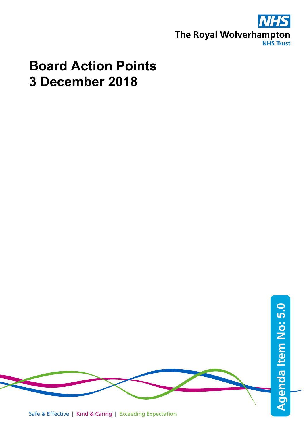

## **Board Action Points 3 December 2018**

Safe & Effective | Kind & Caring | Exceeding Expectation **Agenda Item No: Agenda Item No: 5.0**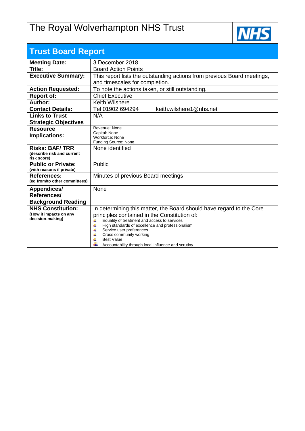## The Royal Wolverhampton NHS Trust



| <b>Trust Board Report</b>                           |                                                                                                   |  |  |  |  |  |  |
|-----------------------------------------------------|---------------------------------------------------------------------------------------------------|--|--|--|--|--|--|
| <b>Meeting Date:</b>                                | 3 December 2018                                                                                   |  |  |  |  |  |  |
| Title:                                              | <b>Board Action Points</b>                                                                        |  |  |  |  |  |  |
| <b>Executive Summary:</b>                           | This report lists the outstanding actions from previous Board meetings,                           |  |  |  |  |  |  |
|                                                     | and timescales for completion.                                                                    |  |  |  |  |  |  |
| <b>Action Requested:</b>                            | To note the actions taken, or still outstanding.                                                  |  |  |  |  |  |  |
| <b>Report of:</b>                                   | <b>Chief Executive</b>                                                                            |  |  |  |  |  |  |
| Author:                                             | Keith Wilshere                                                                                    |  |  |  |  |  |  |
| <b>Contact Details:</b>                             | keith.wilshere1@nhs.net<br>Tel 01902 694294                                                       |  |  |  |  |  |  |
| <b>Links to Trust</b>                               | N/A                                                                                               |  |  |  |  |  |  |
| <b>Strategic Objectives</b>                         |                                                                                                   |  |  |  |  |  |  |
| <b>Resource</b>                                     | Revenue: None<br>Capital: None                                                                    |  |  |  |  |  |  |
| Implications:                                       | Workforce: None                                                                                   |  |  |  |  |  |  |
|                                                     | Funding Source: None                                                                              |  |  |  |  |  |  |
| <b>Risks: BAF/TRR</b><br>(describe risk and current | None identified                                                                                   |  |  |  |  |  |  |
| risk score)                                         |                                                                                                   |  |  |  |  |  |  |
| <b>Public or Private:</b>                           | Public                                                                                            |  |  |  |  |  |  |
| (with reasons if private)                           |                                                                                                   |  |  |  |  |  |  |
| <b>References:</b>                                  | Minutes of previous Board meetings                                                                |  |  |  |  |  |  |
| (eg from/to other committees)                       |                                                                                                   |  |  |  |  |  |  |
| Appendices/                                         | None                                                                                              |  |  |  |  |  |  |
| References/                                         |                                                                                                   |  |  |  |  |  |  |
| <b>Background Reading</b>                           |                                                                                                   |  |  |  |  |  |  |
| <b>NHS Constitution:</b><br>(How it impacts on any  | In determining this matter, the Board should have regard to the Core                              |  |  |  |  |  |  |
| decision-making)                                    | principles contained in the Constitution of:<br>Equality of treatment and access to services<br>4 |  |  |  |  |  |  |
|                                                     | 4<br>High standards of excellence and professionalism                                             |  |  |  |  |  |  |
|                                                     | 4<br>Service user preferences                                                                     |  |  |  |  |  |  |
|                                                     | Cross community working<br>⋕<br><b>Best Value</b>                                                 |  |  |  |  |  |  |
|                                                     | Accountability through local influence and scrutiny                                               |  |  |  |  |  |  |